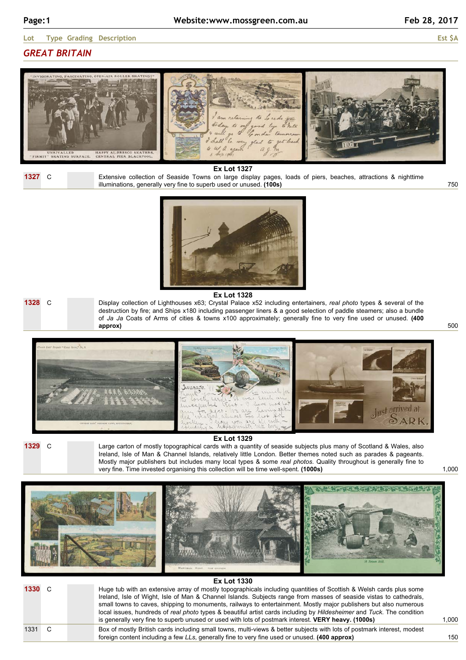750

500

## *GREAT BRITAIN*





**Ex Lot 1327**

Extensive collection of Seaside Towns on large display pages, loads of piers, beaches, attractions & nighttime illuminations, generally very fine to superb used or unused. **(100s)**



**1328** C

**Ex Lot 1328** Display collection of Lighthouses x63; Crystal Palace x52 including entertainers, *real photo* types & several of the destruction by fire; and Ships x180 including passenger liners & a good selection of paddle steamers; also a bundle of *Ja Ja* Coats of Arms of cities & towns x100 approximately; generally fine to very fine used or unused. **(400 approx)**



**1329** C

**Ex Lot 1329**

Large carton of mostly topographical cards with a quantity of seaside subjects plus many of Scotland & Wales, also Ireland, Isle of Man & Channel Islands, relatively little London. Better themes noted such as parades & pageants. Mostly major publishers but includes many local types & some *real photos*. Quality throughout is generally fine to very fine. Time invested organising this collection will be time well-spent. **(1000s)**



|        | <b>Ex Lot 1330</b> |  |                                                                                                                                                                                                                                                                                                                                                                                                                                                                                                                                                                                               |  |  |  |
|--------|--------------------|--|-----------------------------------------------------------------------------------------------------------------------------------------------------------------------------------------------------------------------------------------------------------------------------------------------------------------------------------------------------------------------------------------------------------------------------------------------------------------------------------------------------------------------------------------------------------------------------------------------|--|--|--|
| 1330 C |                    |  | Huge tub with an extensive array of mostly topographicals including quantities of Scottish & Welsh cards plus some<br>Ireland, Isle of Wight, Isle of Man & Channel Islands. Subjects range from masses of seaside vistas to cathedrals,<br>small towns to caves, shipping to monuments, railways to entertainment. Mostly major publishers but also numerous<br>local issues, hundreds of real photo types & beautiful artist cards including by Hildesheimer and Tuck. The condition<br>is generally very fine to superb unused or used with lots of postmark interest. VERY heavy. (1000s) |  |  |  |
| 1331   |                    |  | Box of mostly British cards including small towns, multi-views & better subjects with lots of postmark interest, modest<br>foreign content including a few LLs, generally fine to very fine used or unused. (400 approx)                                                                                                                                                                                                                                                                                                                                                                      |  |  |  |

1,000

1,000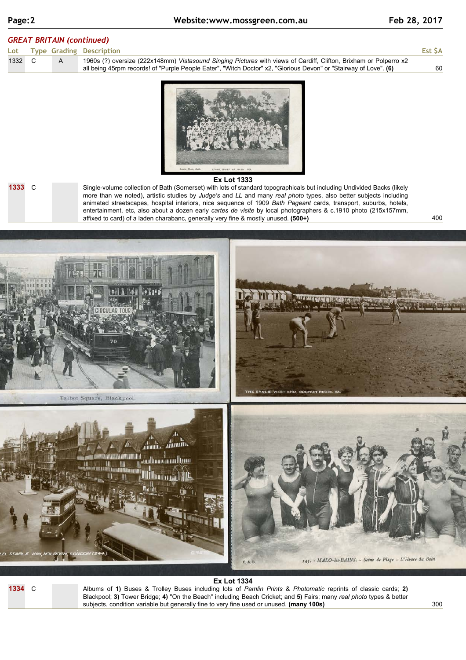400

## *GREAT BRITAIN (continued)*

|        |  | Lot Type Grading Description                                                                                      | Est \$A |
|--------|--|-------------------------------------------------------------------------------------------------------------------|---------|
| 1332 C |  | 1960s (?) oversize (222x148mm) Vistasound Singing Pictures with views of Cardiff, Clifton, Brixham or Polperro x2 |         |
|        |  | all being 45rpm records! of "Purple People Eater", "Witch Doctor" x2, "Glorious Devon" or "Stairway of Love". (6) | 60      |



### **1333** C

#### **Ex Lot 1333**

Single-volume collection of Bath (Somerset) with lots of standard topographicals but including Undivided Backs (likely more than we noted), artistic studies by *Judge's* and *LL* and many *real photo* types, also better subjects including animated streetscapes, hospital interiors, nice sequence of 1909 *Bath Pageant* cards, transport, suburbs, hotels, entertainment, etc, also about a dozen early *cartes de visite* by local photographers & c.1910 photo (215x157mm, affixed to card) of a laden charabanc, generally very fine & mostly unused. **(500+)**



## **Ex Lot 1334**

**1334** C

Albums of **1)** Buses & Trolley Buses including lots of *Pamlin Prints* & *Photomatic* reprints of classic cards; **2)** Blackpool; **3)** Tower Bridge; **4)** "On the Beach" including Beach Cricket; and **5)** Fairs; many *real photo* types & better subjects, condition variable but generally fine to very fine used or unused. **(many 100s)**

300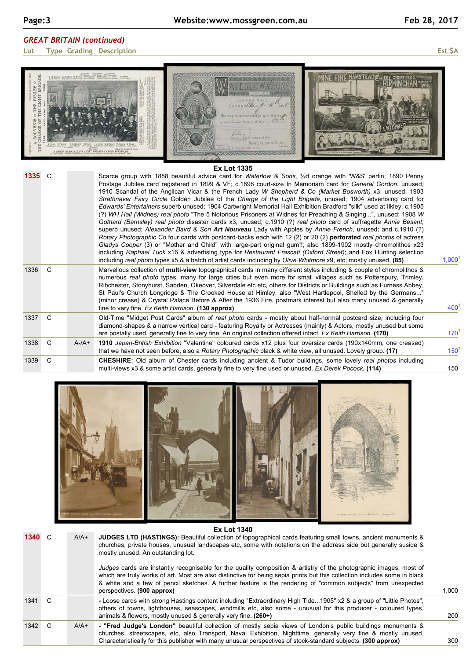# *GREAT BRITAIN (continued)*

**Lot Type Grading Description Est \$A**

| 1335 C |    |            | Scarce group with 1888 beautiful advice card for Waterlow & Sons, 1/2d orange with 'W&S' perfin; 1890 Penny<br>Postage Jubilee card registered in 1899 & VF; c.1898 court-size In Memoriam card for General Gordon, unused;<br>1910 Scandal of the Anglican Vicar & the French Lady W Shepherd & Co (Market Bosworth) x3, unused; 1903<br>Strathnaver Fairy Circle Golden Jubilee of the Charge of the Light Brigade, unused; 1904 advertising card for<br>Edwards' Entertainers superb unused; 1904 Cartwright Memorial Hall Exhibition Bradford "silk" used at Ilkley; c.1905<br>(?) WH Hall (Widnes) real photo "The 5 Notorious Prisoners at Widnes for Preaching & Singing", unused; 1908 W<br>Gothard (Barnsley) real photo disaster cards x3, unused; c.1910 (?) real photo card of suffragette Annie Besant,<br>superb unused; Alexander Baird & Son Art Nouveau Lady with Apples by Annie French, unused; and c.1910 (?)<br>Rotary Photographic Co four cards with postcard-backs each with 12 (2) or 20 (2) perforated real photos of actress<br>Gladys Cooper (3) or "Mother and Child" with large-part original gum!!; also 1899-1902 mostly chromolithos x23<br>including Raphael Tuck x16 & advertising type for Restaurant Frascati (Oxford Street); and Fox Hunting selection<br>including real photo types x5 & a batch of artist cards including by Olive Whitmore x9, etc; mostly unused. (85) | $1,000^{T}$      |
|--------|----|------------|-------------------------------------------------------------------------------------------------------------------------------------------------------------------------------------------------------------------------------------------------------------------------------------------------------------------------------------------------------------------------------------------------------------------------------------------------------------------------------------------------------------------------------------------------------------------------------------------------------------------------------------------------------------------------------------------------------------------------------------------------------------------------------------------------------------------------------------------------------------------------------------------------------------------------------------------------------------------------------------------------------------------------------------------------------------------------------------------------------------------------------------------------------------------------------------------------------------------------------------------------------------------------------------------------------------------------------------------------------------------------------------------------------------------|------------------|
| 1336   | C. |            | Marvellous collection of multi-view topographical cards in many different styles including & couple of chromolithos &<br>numerous real photo types, many for large cities but even more for small villages such as Potterspury, Trimley,<br>Ribchester, Stonyhurst, Sabden, Okeover, Silverdale etc etc, others for Districts or Buildings such as Furness Abbey,<br>St Paul's Church Longridge & The Crooked House at Himley, also "West Hartlepool, Shelled by the Germans"<br>(minor crease) & Crystal Palace Before & After the 1936 Fire, postmark interest but also many unused & generally<br>fine to very fine. Ex Keith Harrison. (130 approx)                                                                                                                                                                                                                                                                                                                                                                                                                                                                                                                                                                                                                                                                                                                                                           | 400 <sup>1</sup> |
| 1337   | C. |            | Old-Time "Midget Post Cards" album of real photo cards - mostly about half-normal postcard size, including four<br>diamond-shapes & a narrow vertical card - featuring Royalty or Actresses (mainly) & Actors, mostly unused but some<br>are postally used, generally fine to very fine. An original collection offered intact. Ex Keith Harrison. (170)                                                                                                                                                                                                                                                                                                                                                                                                                                                                                                                                                                                                                                                                                                                                                                                                                                                                                                                                                                                                                                                          | 170 <sup>T</sup> |
| 1338 C |    | $A - /A +$ | 1910 Japan-British Exhibition "Valentine" coloured cards x12 plus four oversize cards (190x140mm, one creased)<br>that we have not seen before, also a Rotary Photographic black & white view, all unused. Lovely group. (17)                                                                                                                                                                                                                                                                                                                                                                                                                                                                                                                                                                                                                                                                                                                                                                                                                                                                                                                                                                                                                                                                                                                                                                                     | $150^T$          |
| 1339   | C  |            | <b>CHESHIRE:</b> Old album of Chester cards including ancient & Tudor buildings, some lovely real photos including<br>multi-views x3 & some artist cards, generally fine to very fine used or unused. Ex Derek Pocock. (114)                                                                                                                                                                                                                                                                                                                                                                                                                                                                                                                                                                                                                                                                                                                                                                                                                                                                                                                                                                                                                                                                                                                                                                                      | 150              |



# **1340** C A/A+

### **Ex Lot 1340 JUDGES LTD (HASTINGS):** Beautiful collection of topographical cards featuring small towns, ancient monuments & churches, private houses, unusual landscapes etc, some with notations on the address side but generally suside & mostly unused. An outstanding lot.

churches, streetscapes, etc, also Transport, Naval Exhibition, Nighttime, generally very fine & mostly unused. Characteristically for this publisher with many unusual perspectives of stock-standard subjects. **(300 approx)**

*Judges* cards are instantly recognisable for the quality composition & artistry of the photographic images, most of which are truly works of art. Most are also distinctive for being sepia prints but this collection includes some in black & white and a few of pencil sketches. A further feature is the rendering of "common subjects" from unexpected perspectives. **(900 approx) -** Loose cards with strong Hastings content including "Extraordinary High Tide...1905" x2 & a group of "Little Photos", others of towns, lighthouses, seascapes, windmills etc, also some - unusual for this producer - coloured types, animals & flowers, mostly unused & generally very fine. **(260+)** 1341 C **- "Fred Judge's London"** beautiful collection of mostly sepia views of London's public buildings monuments & 1342 C A/A+

1,000

200